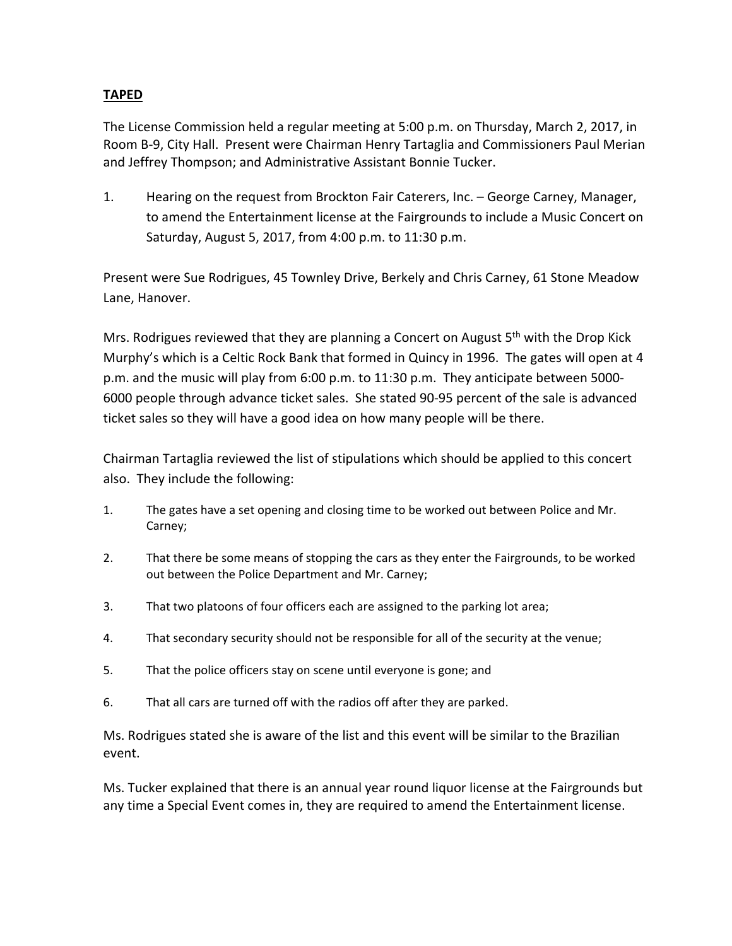## **TAPED**

 The License Commission held a regular meeting at 5:00 p.m. on Thursday, March 2, 2017, in Room B‐9, City Hall. Present were Chairman Henry Tartaglia and Commissioners Paul Merian and Jeffrey Thompson; and Administrative Assistant Bonnie Tucker.

 1. Hearing on the request from Brockton Fair Caterers, Inc. – George Carney, Manager, to amend the Entertainment license at the Fairgrounds to include a Music Concert on Saturday, August 5, 2017, from 4:00 p.m. to 11:30 p.m.

 Present were Sue Rodrigues, 45 Townley Drive, Berkely and Chris Carney, 61 Stone Meadow Lane, Hanover.

Mrs. Rodrigues reviewed that they are planning a Concert on August 5<sup>th</sup> with the Drop Kick Murphy's which is a Celtic Rock Bank that formed in Quincy in 1996. The gates will open at 4 p.m. and the music will play from 6:00 p.m. to 11:30 p.m. They anticipate between 5000‐ 6000 people through advance ticket sales. She stated 90‐95 percent of the sale is advanced ticket sales so they will have a good idea on how many people will be there.

 Chairman Tartaglia reviewed the list of stipulations which should be applied to this concert also. They include the following:

- 1. The gates have a set opening and closing time to be worked out between Police and Mr. Carney;
- 2. That there be some means of stopping the cars as they enter the Fairgrounds, to be worked out between the Police Department and Mr. Carney;
- 3. That two platoons of four officers each are assigned to the parking lot area;
- 4. That secondary security should not be responsible for all of the security at the venue;
- 5. That the police officers stay on scene until everyone is gone; and
- 6. That all cars are turned off with the radios off after they are parked.

 Ms. Rodrigues stated she is aware of the list and this event will be similar to the Brazilian event.

 Ms. Tucker explained that there is an annual year round liquor license at the Fairgrounds but any time a Special Event comes in, they are required to amend the Entertainment license.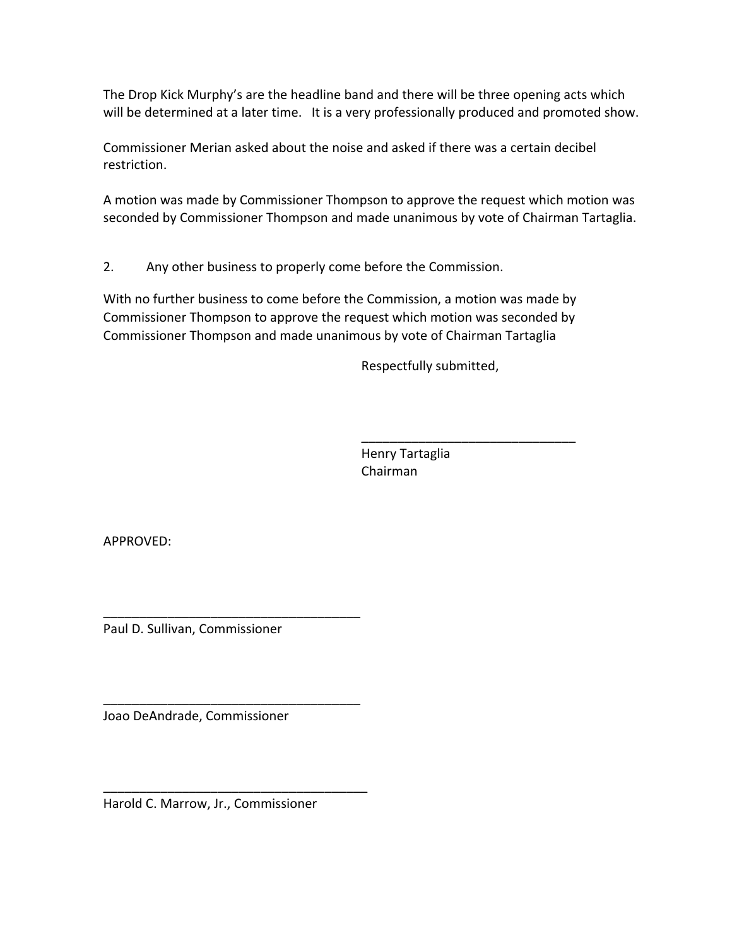The Drop Kick Murphy's are the headline band and there will be three opening acts which will be determined at a later time. It is a very professionally produced and promoted show.

 Commissioner Merian asked about the noise and asked if there was a certain decibel restriction.

 A motion was made by Commissioner Thompson to approve the request which motion was seconded by Commissioner Thompson and made unanimous by vote of Chairman Tartaglia.

2. Any other business to properly come before the Commission.

 With no further business to come before the Commission, a motion was made by Commissioner Thompson to approve the request which motion was seconded by Commissioner Thompson and made unanimous by vote of Chairman Tartaglia

**Respectfully submitted,** 

\_\_\_\_\_\_\_\_\_\_\_\_\_\_\_\_\_\_\_\_\_\_\_\_\_\_\_\_\_\_

 Henry Tartaglia Chairman

APPROVED:

Paul D. Sullivan, Commissioner

\_\_\_\_\_\_\_\_\_\_\_\_\_\_\_\_\_\_\_\_\_\_\_\_\_\_\_\_\_\_\_\_\_\_\_\_

\_\_\_\_\_\_\_\_\_\_\_\_\_\_\_\_\_\_\_\_\_\_\_\_\_\_\_\_\_\_\_\_\_\_\_\_

\_\_\_\_\_\_\_\_\_\_\_\_\_\_\_\_\_\_\_\_\_\_\_\_\_\_\_\_\_\_\_\_\_\_\_\_\_

Joao DeAndrade, Commissioner

Harold C. Marrow, Jr., Commissioner